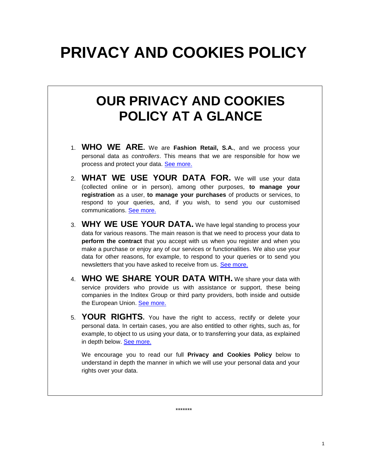# **PRIVACY AND COOKIES POLICY**

## **OUR PRIVACY AND COOKIES POLICY AT A GLANCE**

- 1. **WHO WE ARE.** We are **Fashion Retail, S.A.**, and we process your personal data as *controllers*. This means that we are responsible for how we process and protect your data. [See more.](#page-1-0)
- 2. **WHAT WE USE YOUR DATA FOR.** We will use your data (collected online or in person), among other purposes, **to manage your registration** as a user, **to manage your purchases** of products or services, to respond to your queries, and, if you wish, to send you our customised communications. [See more.](#page-2-0)
- 3. **WHY WE USE YOUR DATA.** We have legal standing to process your data for various reasons. The main reason is that we need to process your data to **perform the contract** that you accept with us when you register and when you make a purchase or enjoy any of our services or functionalities. We also use your data for other reasons, for example, to respond to your queries or to send you newsletters that you have asked to receive from us. [See more.](#page-4-0)
- 4. **WHO WE SHARE YOUR DATA WITH.** We share your data with service providers who provide us with assistance or support, these being companies in the Inditex Group or third party providers, both inside and outside the European Union. [See more.](#page-7-0)
- 5. **YOUR RIGHTS.** You have the right to access, rectify or delete your personal data. In certain cases, you are also entitled to other rights, such as, for example, to object to us using your data, or to transferring your data, as explained in depth below. [See more.](#page-8-0)

We encourage you to read our full **Privacy and Cookies Policy** below to understand in depth the manner in which we will use your personal data and your rights over your data.

\*\*\*\*\*\*\*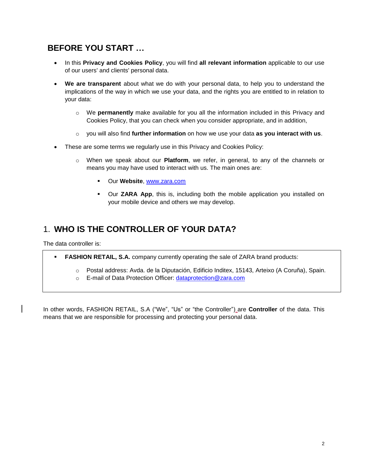### **BEFORE YOU START …**

- In this **Privacy and Cookies Policy**, you will find **all relevant information** applicable to our use of our users' and clients' personal data.
- **We are transparent** about what we do with your personal data, to help you to understand the implications of the way in which we use your data, and the rights you are entitled to in relation to your data:
	- o We **permanently** make available for you all the information included in this Privacy and Cookies Policy, that you can check when you consider appropriate, and in addition,
	- o you will also find **further information** on how we use your data **as you interact with us**.
- These are some terms we regularly use in this Privacy and Cookies Policy:
	- o When we speak about our **Platform**, we refer, in general, to any of the channels or means you may have used to interact with us. The main ones are:
		- Our **Website**, [www.zara.com](http://www.zara.com/)
		- Our **ZARA App**, this is, including both the mobile application you installed on your mobile device and others we may develop.

### <span id="page-1-0"></span>1. **WHO IS THE CONTROLLER OF YOUR DATA?**

The data controller is:

**FASHION RETAIL, S.A.** company currently operating the sale of ZARA brand products:

- o Postal address: Avda. de la Diputación, Edificio Inditex, 15143, Arteixo (A Coruña), Spain.
- o E-mail of Data Protection Officer: dataprotection@zara.com

In other words, FASHION RETAIL, S.A ("We", "Us" or "the Controller") are **Controller** of the data. This means that we are responsible for processing and protecting your personal data.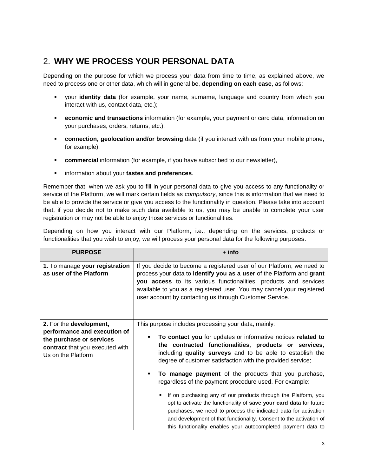### <span id="page-2-0"></span>2. **WHY WE PROCESS YOUR PERSONAL DATA**

Depending on the purpose for which we process your data from time to time, as explained above, we need to process one or other data, which will in general be, **depending on each case**, as follows:

- your **identity data** (for example, your name, surname, language and country from which you interact with us, contact data, etc.);
- **economic and transactions** information (for example, your payment or card data, information on your purchases, orders, returns, etc.);
- **connection, geolocation and/or browsing** data (if you interact with us from your mobile phone, for example);
- **Commercial** information (for example, if you have subscribed to our newsletter),
- information about your **tastes and preferences**.

Remember that, when we ask you to fill in your personal data to give you access to any functionality or service of the Platform, we will mark certain fields as *compulsory*, since this is information that we need to be able to provide the service or give you access to the functionality in question. Please take into account that, if you decide not to make such data available to us, you may be unable to complete your user registration or may not be able to enjoy those services or functionalities.

Depending on how you interact with our Platform, i.e., depending on the services, products or functionalities that you wish to enjoy, we will process your personal data for the following purposes:

| <b>PURPOSE</b>                                                                                                                               | + info                                                                                                                                                                                                                                                                                                                                                                                                                                                                       |
|----------------------------------------------------------------------------------------------------------------------------------------------|------------------------------------------------------------------------------------------------------------------------------------------------------------------------------------------------------------------------------------------------------------------------------------------------------------------------------------------------------------------------------------------------------------------------------------------------------------------------------|
| 1. To manage your registration<br>as user of the Platform                                                                                    | If you decide to become a registered user of our Platform, we need to<br>process your data to identify you as a user of the Platform and grant<br>you access to its various functionalities, products and services<br>available to you as a registered user. You may cancel your registered<br>user account by contacting us through Customer Service.                                                                                                                       |
| 2. For the development,<br>performance and execution of<br>the purchase or services<br>contract that you executed with<br>Us on the Platform | This purpose includes processing your data, mainly:<br>To contact you for updates or informative notices related to<br>٠<br>the contracted functionalities, products or services,<br>including quality surveys and to be able to establish the<br>degree of customer satisfaction with the provided service;                                                                                                                                                                 |
|                                                                                                                                              | To manage payment of the products that you purchase,<br>٠<br>regardless of the payment procedure used. For example:<br>If on purchasing any of our products through the Platform, you<br>٠<br>opt to activate the functionality of save your card data for future<br>purchases, we need to process the indicated data for activation<br>and development of that functionality. Consent to the activation of<br>this functionality enables your autocompleted payment data to |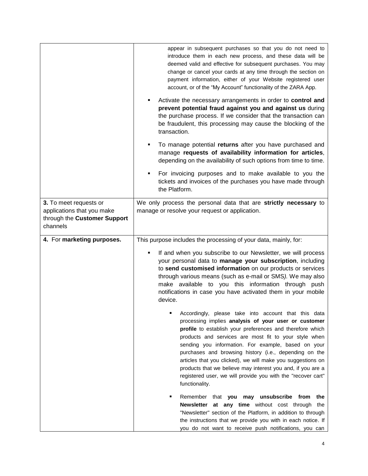| 3. To meet requests or                                                 | appear in subsequent purchases so that you do not need to<br>introduce them in each new process, and these data will be<br>deemed valid and effective for subsequent purchases. You may<br>change or cancel your cards at any time through the section on<br>payment information, either of your Website registered user<br>account, or of the "My Account" functionality of the ZARA App.<br>Activate the necessary arrangements in order to control and<br>prevent potential fraud against you and against us during<br>the purchase process. If we consider that the transaction can<br>be fraudulent, this processing may cause the blocking of the<br>transaction.<br>To manage potential returns after you have purchased and<br>٠<br>manage requests of availability information for articles,<br>depending on the availability of such options from time to time.<br>For invoicing purposes and to make available to you the<br>٠<br>tickets and invoices of the purchases you have made through<br>the Platform.<br>We only process the personal data that are strictly necessary to |  |
|------------------------------------------------------------------------|-----------------------------------------------------------------------------------------------------------------------------------------------------------------------------------------------------------------------------------------------------------------------------------------------------------------------------------------------------------------------------------------------------------------------------------------------------------------------------------------------------------------------------------------------------------------------------------------------------------------------------------------------------------------------------------------------------------------------------------------------------------------------------------------------------------------------------------------------------------------------------------------------------------------------------------------------------------------------------------------------------------------------------------------------------------------------------------------------|--|
| applications that you make<br>through the Customer Support<br>channels | manage or resolve your request or application.                                                                                                                                                                                                                                                                                                                                                                                                                                                                                                                                                                                                                                                                                                                                                                                                                                                                                                                                                                                                                                                |  |
| 4. For marketing purposes.                                             | This purpose includes the processing of your data, mainly, for:<br>If and when you subscribe to our Newsletter, we will process<br>٠<br>your personal data to manage your subscription, including<br>to send customised information on our products or services<br>through various means (such as e-mail or SMS). We may also<br>make available to you this information through push<br>notifications in case you have activated them in your mobile<br>device.<br>Accordingly, please take into account that this data<br>processing implies analysis of your user or customer<br>profile to establish your preferences and therefore which<br>products and services are most fit to your style when<br>sending you information. For example, based on your<br>purchases and browsing history (i.e., depending on the<br>articles that you clicked), we will make you suggestions on<br>products that we believe may interest you and, if you are a<br>registered user, we will provide you with the "recover cart"<br>functionality.                                                        |  |
|                                                                        | Remember that you<br>may unsubscribe from<br>the<br>Newsletter at any time without cost through the<br>"Newsletter" section of the Platform, in addition to through<br>the instructions that we provide you with in each notice. If<br>you do not want to receive push notifications, you can                                                                                                                                                                                                                                                                                                                                                                                                                                                                                                                                                                                                                                                                                                                                                                                                 |  |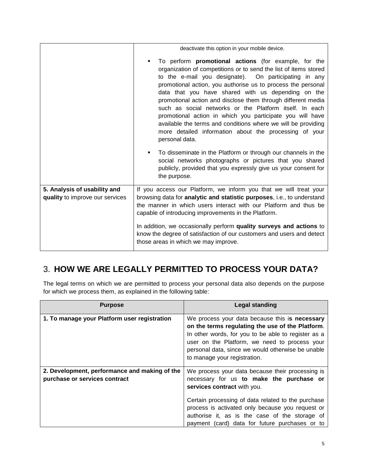|                                 | deactivate this option in your mobile device.                                                                                                                                                                                                                                                                                                                                                                                                                                                                                                                                                                                                            |  |
|---------------------------------|----------------------------------------------------------------------------------------------------------------------------------------------------------------------------------------------------------------------------------------------------------------------------------------------------------------------------------------------------------------------------------------------------------------------------------------------------------------------------------------------------------------------------------------------------------------------------------------------------------------------------------------------------------|--|
|                                 | To perform <b>promotional actions</b> (for example, for the<br>٠<br>organization of competitions or to send the list of items stored<br>to the e-mail you designate). On participating in any<br>promotional action, you authorise us to process the personal<br>data that you have shared with us depending on the<br>promotional action and disclose them through different media<br>such as social networks or the Platform itself. In each<br>promotional action in which you participate you will have<br>available the terms and conditions where we will be providing<br>more detailed information about the processing of your<br>personal data. |  |
|                                 | To disseminate in the Platform or through our channels in the<br>٠<br>social networks photographs or pictures that you shared<br>publicly, provided that you expressly give us your consent for<br>the purpose.                                                                                                                                                                                                                                                                                                                                                                                                                                          |  |
| 5. Analysis of usability and    | If you access our Platform, we inform you that we will treat your                                                                                                                                                                                                                                                                                                                                                                                                                                                                                                                                                                                        |  |
| quality to improve our services | browsing data for analytic and statistic purposes, i.e., to understand<br>the manner in which users interact with our Platform and thus be<br>capable of introducing improvements in the Platform.                                                                                                                                                                                                                                                                                                                                                                                                                                                       |  |
|                                 | In addition, we occasionally perform quality surveys and actions to<br>know the degree of satisfaction of our customers and users and detect<br>those areas in which we may improve.                                                                                                                                                                                                                                                                                                                                                                                                                                                                     |  |

### <span id="page-4-0"></span>3. **HOW WE ARE LEGALLY PERMITTED TO PROCESS YOUR DATA?**

The legal terms on which we are permitted to process your personal data also depends on the purpose for which we process them, as explained in the following table:

| <b>Purpose</b>                                                                 | Legal standing                                                                                                                                                                                                                                                                                                                            |
|--------------------------------------------------------------------------------|-------------------------------------------------------------------------------------------------------------------------------------------------------------------------------------------------------------------------------------------------------------------------------------------------------------------------------------------|
| 1. To manage your Platform user registration                                   | We process your data because this is necessary<br>on the terms regulating the use of the Platform.<br>In other words, for you to be able to register as a<br>user on the Platform, we need to process your<br>personal data, since we would otherwise be unable<br>to manage your registration.                                           |
| 2. Development, performance and making of the<br>purchase or services contract | We process your data because their processing is<br>necessary for us to make the purchase or<br>services contract with you.<br>Certain processing of data related to the purchase<br>process is activated only because you request or<br>authorise it, as is the case of the storage of<br>payment (card) data for future purchases or to |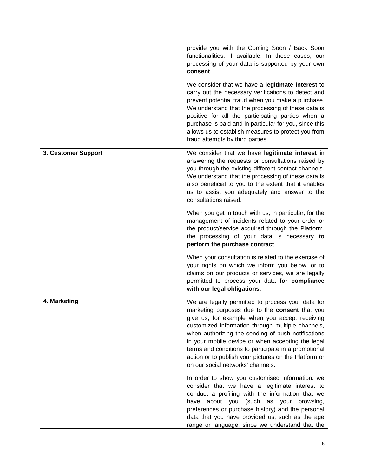|                     | provide you with the Coming Soon / Back Soon<br>functionalities, if available. In these cases, our<br>processing of your data is supported by your own<br>consent.<br>We consider that we have a legitimate interest to<br>carry out the necessary verifications to detect and<br>prevent potential fraud when you make a purchase.<br>We understand that the processing of these data is<br>positive for all the participating parties when a<br>purchase is paid and in particular for you, since this<br>allows us to establish measures to protect you from<br>fraud attempts by third parties.      |
|---------------------|----------------------------------------------------------------------------------------------------------------------------------------------------------------------------------------------------------------------------------------------------------------------------------------------------------------------------------------------------------------------------------------------------------------------------------------------------------------------------------------------------------------------------------------------------------------------------------------------------------|
| 3. Customer Support | We consider that we have legitimate interest in<br>answering the requests or consultations raised by<br>you through the existing different contact channels.<br>We understand that the processing of these data is<br>also beneficial to you to the extent that it enables<br>us to assist you adequately and answer to the<br>consultations raised.<br>When you get in touch with us, in particular, for the<br>management of incidents related to your order or<br>the product/service acquired through the Platform,<br>the processing of your data is necessary to<br>perform the purchase contract. |
|                     | When your consultation is related to the exercise of<br>your rights on which we inform you below, or to<br>claims on our products or services, we are legally<br>permitted to process your data for compliance<br>with our legal obligations.                                                                                                                                                                                                                                                                                                                                                            |
| 4. Marketing        | We are legally permitted to process your data for<br>marketing purposes due to the <b>consent</b> that you<br>give us, for example when you accept receiving<br>customized information through multiple channels,<br>when authorizing the sending of push notifications<br>in your mobile device or when accepting the legal<br>terms and conditions to participate in a promotional<br>action or to publish your pictures on the Platform or<br>on our social networks' channels.                                                                                                                       |
|                     | In order to show you customised information. we<br>consider that we have a legitimate interest to<br>conduct a profiling with the information that we<br>have about you (such as your browsing,<br>preferences or purchase history) and the personal<br>data that you have provided us, such as the age<br>range or language, since we understand that the                                                                                                                                                                                                                                               |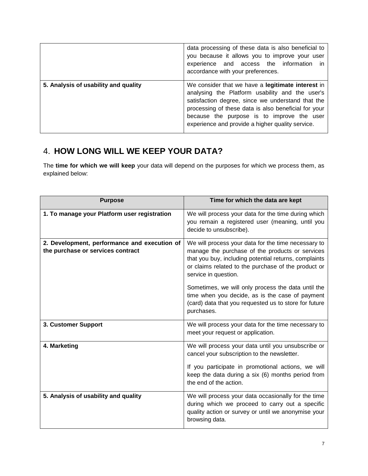|                                      | data processing of these data is also beneficial to<br>you because it allows you to improve your user<br>experience and access the information<br><i>in</i><br>accordance with your preferences.                                                                                                                    |  |
|--------------------------------------|---------------------------------------------------------------------------------------------------------------------------------------------------------------------------------------------------------------------------------------------------------------------------------------------------------------------|--|
| 5. Analysis of usability and quality | We consider that we have a legitimate interest in<br>analysing the Platform usability and the user's<br>satisfaction degree, since we understand that the<br>processing of these data is also beneficial for your<br>because the purpose is to improve the user<br>experience and provide a higher quality service. |  |

### 4. **HOW LONG WILL WE KEEP YOUR DATA?**

The **time for which we will keep** your data will depend on the purposes for which we process them, as explained below:

| <b>Purpose</b>                                                                    | Time for which the data are kept                                                                                                                                                                                                               |
|-----------------------------------------------------------------------------------|------------------------------------------------------------------------------------------------------------------------------------------------------------------------------------------------------------------------------------------------|
| 1. To manage your Platform user registration                                      | We will process your data for the time during which<br>you remain a registered user (meaning, until you<br>decide to unsubscribe).                                                                                                             |
| 2. Development, performance and execution of<br>the purchase or services contract | We will process your data for the time necessary to<br>manage the purchase of the products or services<br>that you buy, including potential returns, complaints<br>or claims related to the purchase of the product or<br>service in question. |
|                                                                                   | Sometimes, we will only process the data until the<br>time when you decide, as is the case of payment<br>(card) data that you requested us to store for future<br>purchases.                                                                   |
| 3. Customer Support                                                               | We will process your data for the time necessary to<br>meet your request or application.                                                                                                                                                       |
| 4. Marketing                                                                      | We will process your data until you unsubscribe or<br>cancel your subscription to the newsletter.<br>If you participate in promotional actions, we will<br>keep the data during a six (6) months period from<br>the end of the action.         |
| 5. Analysis of usability and quality                                              | We will process your data occasionally for the time<br>during which we proceed to carry out a specific<br>quality action or survey or until we anonymise your<br>browsing data.                                                                |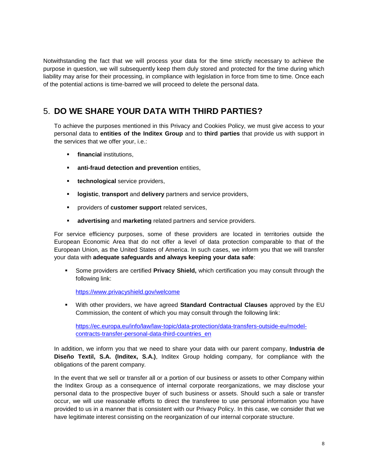Notwithstanding the fact that we will process your data for the time strictly necessary to achieve the purpose in question, we will subsequently keep them duly stored and protected for the time during which liability may arise for their processing, in compliance with legislation in force from time to time. Once each of the potential actions is time-barred we will proceed to delete the personal data.

### <span id="page-7-0"></span>5. **DO WE SHARE YOUR DATA WITH THIRD PARTIES?**

To achieve the purposes mentioned in this Privacy and Cookies Policy, we must give access to your personal data to **entities of the Inditex Group** and to **third parties** that provide us with support in the services that we offer your, i.e.:

- **financial** institutions,
- **anti-fraud detection and prevention entities,**
- **technological** service providers,
- **logistic**, **transport** and **delivery** partners and service providers,
- providers of **customer support** related services,
- **advertising** and **marketing** related partners and service providers.

For service efficiency purposes, some of these providers are located in territories outside the European Economic Area that do not offer a level of data protection comparable to that of the European Union, as the United States of America. In such cases, we inform you that we will transfer your data with **adequate safeguards and always keeping your data safe**:

 Some providers are certified **Privacy Shield,** which certification you may consult through the following link:

<https://www.privacyshield.gov/welcome>

 With other providers, we have agreed **Standard Contractual Clauses** approved by the EU Commission, the content of which you may consult through the following link:

[https://ec.europa.eu/info/law/law-topic/data-protection/data-transfers-outside-eu/model](https://ec.europa.eu/info/law/law-topic/data-protection/data-transfers-outside-eu/model-contracts-transfer-personal-data-third-countries_en)[contracts-transfer-personal-data-third-countries\\_en](https://ec.europa.eu/info/law/law-topic/data-protection/data-transfers-outside-eu/model-contracts-transfer-personal-data-third-countries_en)

In addition, we inform you that we need to share your data with our parent company, **Industria de Diseño Textil, S.A. (Inditex, S.A.)**, Inditex Group holding company, for compliance with the obligations of the parent company.

In the event that we sell or transfer all or a portion of our business or assets to other Company within the Inditex Group as a consequence of internal corporate reorganizations, we may disclose your personal data to the prospective buyer of such business or assets. Should such a sale or transfer occur, we will use reasonable efforts to direct the transferee to use personal information you have provided to us in a manner that is consistent with our Privacy Policy. In this case, we consider that we have legitimate interest consisting on the reorganization of our internal corporate structure.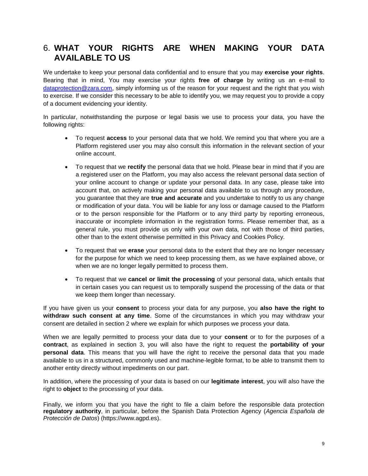### <span id="page-8-0"></span>6. **WHAT YOUR RIGHTS ARE WHEN MAKING YOUR DATA AVAILABLE TO US**

We undertake to keep your personal data confidential and to ensure that you may **exercise your rights**. Bearing that in mind, You may exercise your rights **free of charge** by writing us an e-mail to [dataprotection@zara.com,](mailto:dataprotection@zara.com) simply informing us of the reason for your request and the right that you wish to exercise. If we consider this necessary to be able to identify you, we may request you to provide a copy of a document evidencing your identity.

In particular, notwithstanding the purpose or legal basis we use to process your data, you have the following rights:

- To request **access** to your personal data that we hold. We remind you that where you are a Platform registered user you may also consult this information in the relevant section of your online account.
- To request that we **rectify** the personal data that we hold. Please bear in mind that if you are a registered user on the Platform, you may also access the relevant personal data section of your online account to change or update your personal data. In any case, please take into account that, on actively making your personal data available to us through any procedure, you guarantee that they are **true and accurate** and you undertake to notify to us any change or modification of your data. You will be liable for any loss or damage caused to the Platform or to the person responsible for the Platform or to any third party by reporting erroneous, inaccurate or incomplete information in the registration forms. Please remember that, as a general rule, you must provide us only with your own data, not with those of third parties, other than to the extent otherwise permitted in this Privacy and Cookies Policy.
- To request that we **erase** your personal data to the extent that they are no longer necessary for the purpose for which we need to keep processing them, as we have explained above, or when we are no longer legally permitted to process them.
- To request that we **cancel or limit the processing** of your personal data, which entails that in certain cases you can request us to temporally suspend the processing of the data or that we keep them longer than necessary.

If you have given us your **consent** to process your data for any purpose, you **also have the right to withdraw such consent at any time**. Some of the circumstances in which you may withdraw your consent are detailed in section 2 where we explain for which purposes we process your data.

When we are legally permitted to process your data due to your **consent** or to for the purposes of a **contract**, as explained in section 3, you will also have the right to request the **portability of your personal data**. This means that you will have the right to receive the personal data that you made available to us in a structured, commonly used and machine-legible format, to be able to transmit them to another entity directly without impediments on our part.

In addition, where the processing of your data is based on our **legitimate interest**, you will also have the right to **object** to the processing of your data.

Finally, we inform you that you have the right to file a claim before the responsible data protection **regulatory authority**, in particular, before the Spanish Data Protection Agency (*Agencia Española de Protección de Datos*) (https://www.agpd.es).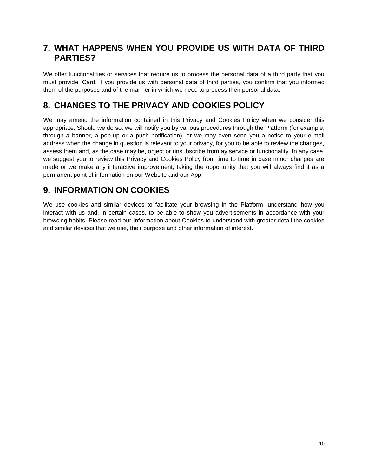### **7. WHAT HAPPENS WHEN YOU PROVIDE US WITH DATA OF THIRD PARTIES?**

We offer functionalities or services that require us to process the personal data of a third party that you must provide, Card. If you provide us with personal data of third parties, you confirm that you informed them of the purposes and of the manner in which we need to process their personal data.

### **8. CHANGES TO THE PRIVACY AND COOKIES POLICY**

We may amend the information contained in this Privacy and Cookies Policy when we consider this appropriate. Should we do so, we will notify you by various procedures through the Platform (for example, through a banner, a pop-up or a push notification), or we may even send you a notice to your e-mail address when the change in question is relevant to your privacy, for you to be able to review the changes, assess them and, as the case may be, object or unsubscribe from ay service or functionality. In any case, we suggest you to review this Privacy and Cookies Policy from time to time in case minor changes are made or we make any interactive improvement, taking the opportunity that you will always find it as a permanent point of information on our Website and our App.

### **9. INFORMATION ON COOKIES**

We use cookies and similar devices to facilitate your browsing in the Platform, understand how you interact with us and, in certain cases, to be able to show you advertisements in accordance with your browsing habits. Please read our Information about Cookies to understand with greater detail the cookies and similar devices that we use, their purpose and other information of interest.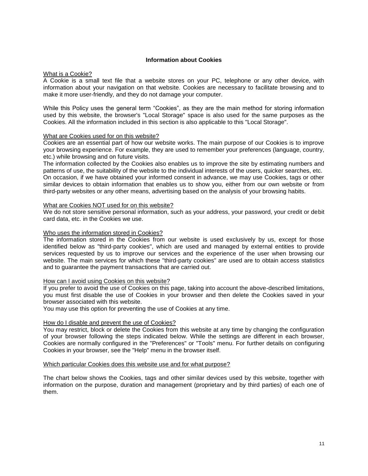#### **Information about Cookies**

#### What is a Cookie?

A Cookie is a small text file that a website stores on your PC, telephone or any other device, with information about your navigation on that website. Cookies are necessary to facilitate browsing and to make it more user-friendly, and they do not damage your computer.

While this Policy uses the general term "Cookies", as they are the main method for storing information used by this website, the browser's "Local Storage" space is also used for the same purposes as the Cookies. All the information included in this section is also applicable to this "Local Storage".

#### What are Cookies used for on this website?

Cookies are an essential part of how our website works. The main purpose of our Cookies is to improve your browsing experience. For example, they are used to remember your preferences (language, country, etc.) while browsing and on future visits.

The information collected by the Cookies also enables us to improve the site by estimating numbers and patterns of use, the suitability of the website to the individual interests of the users, quicker searches, etc. On occasion, if we have obtained your informed consent in advance, we may use Cookies, tags or other similar devices to obtain information that enables us to show you, either from our own website or from third-party websites or any other means, advertising based on the analysis of your browsing habits.

#### What are Cookies NOT used for on this website?

We do not store sensitive personal information, such as your address, your password, your credit or debit card data, etc. in the Cookies we use.

#### Who uses the information stored in Cookies?

The information stored in the Cookies from our website is used exclusively by us, except for those identified below as "third-party cookies", which are used and managed by external entities to provide services requested by us to improve our services and the experience of the user when browsing our website. The main services for which these "third-party cookies" are used are to obtain access statistics and to guarantee the payment transactions that are carried out.

#### How can I avoid using Cookies on this website?

If you prefer to avoid the use of Cookies on this page, taking into account the above-described limitations, you must first disable the use of Cookies in your browser and then delete the Cookies saved in your browser associated with this website.

You may use this option for preventing the use of Cookies at any time.

#### How do I disable and prevent the use of Cookies?

You may restrict, block or delete the Cookies from this website at any time by changing the configuration of your browser following the steps indicated below. While the settings are different in each browser, Cookies are normally configured in the "Preferences" or "Tools" menu. For further details on configuring Cookies in your browser, see the "Help" menu in the browser itself.

#### Which particular Cookies does this website use and for what purpose?

The chart below shows the Cookies, tags and other similar devices used by this website, together with information on the purpose, duration and management (proprietary and by third parties) of each one of them.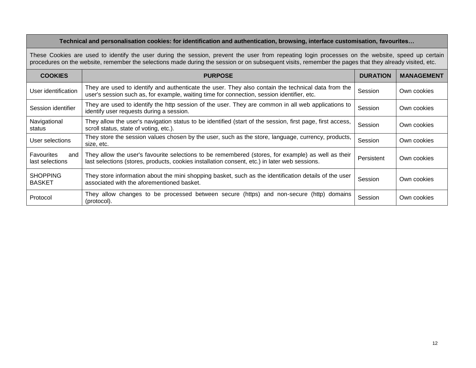#### **Technical and personalisation cookies: for identification and authentication, browsing, interface customisation, favourites…**

These Cookies are used to identify the user during the session, prevent the user from repeating login processes on the website, speed up certain procedures on the website, remember the selections made during the session or on subsequent visits, remember the pages that they already visited, etc.

| <b>COOKIES</b>                              | <b>PURPOSE</b>                                                                                                                                                                                      | <b>DURATION</b> | <b>MANAGEMENT</b> |
|---------------------------------------------|-----------------------------------------------------------------------------------------------------------------------------------------------------------------------------------------------------|-----------------|-------------------|
| User identification                         | They are used to identify and authenticate the user. They also contain the technical data from the<br>user's session such as, for example, waiting time for connection, session identifier, etc.    | Session         | Own cookies       |
| Session identifier                          | They are used to identify the http session of the user. They are common in all web applications to<br>identify user requests during a session.                                                      | Session         | Own cookies       |
| Navigational<br>status                      | They allow the user's navigation status to be identified (start of the session, first page, first access,<br>scroll status, state of voting, etc.).                                                 | Session         | Own cookies       |
| User selections                             | They store the session values chosen by the user, such as the store, language, currency, products,<br>size, etc.                                                                                    | Session         | Own cookies       |
| <b>Favourites</b><br>and<br>last selections | They allow the user's favourite selections to be remembered (stores, for example) as well as their<br>last selections (stores, products, cookies installation consent, etc.) in later web sessions. | Persistent      | Own cookies       |
| <b>SHOPPING</b><br><b>BASKET</b>            | They store information about the mini shopping basket, such as the identification details of the user<br>associated with the aforementioned basket.                                                 | Session         | Own cookies       |
| Protocol                                    | They allow changes to be processed between secure (https) and non-secure (http) domains<br>(protocol).                                                                                              | Session         | Own cookies       |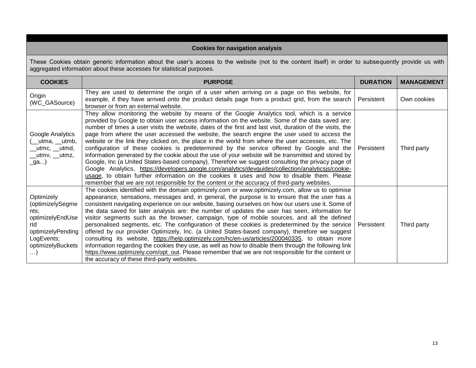#### **Cookies for navigation analysis**

These Cookies obtain generic information about the user's access to the website (not to the content itself) in order to subsequently provide us with aggregated information about these accesses for statistical purposes.

| <b>COOKIES</b>                                                                                                            | <b>PURPOSE</b>                                                                                                                                                                                                                                                                                                                                                                                                                                                                                                                                                                                                                                                                                                                                                                                                                                                                                                                                                                                                                                                                                                                  | <b>DURATION</b> | <b>MANAGEMENT</b> |
|---------------------------------------------------------------------------------------------------------------------------|---------------------------------------------------------------------------------------------------------------------------------------------------------------------------------------------------------------------------------------------------------------------------------------------------------------------------------------------------------------------------------------------------------------------------------------------------------------------------------------------------------------------------------------------------------------------------------------------------------------------------------------------------------------------------------------------------------------------------------------------------------------------------------------------------------------------------------------------------------------------------------------------------------------------------------------------------------------------------------------------------------------------------------------------------------------------------------------------------------------------------------|-----------------|-------------------|
| Origin<br>(WC_GASource)                                                                                                   | They are used to determine the origin of a user when arriving on a page on this website, for<br>example, if they have arrived onto the product details page from a product grid, from the search<br>browser or from an external website.                                                                                                                                                                                                                                                                                                                                                                                                                                                                                                                                                                                                                                                                                                                                                                                                                                                                                        | Persistent      | Own cookies       |
| Google Analytics<br>(__utma, __utmb,<br>__utmc, __utmd,<br>__utmv, __utmz,<br>_ga)                                        | They allow monitoring the website by means of the Google Analytics tool, which is a service<br>provided by Google to obtain user access information on the website. Some of the data saved are:<br>number of times a user visits the website, dates of the first and last visit, duration of the visits, the<br>page from where the user accessed the website, the search engine the user used to access the<br>website or the link they clicked on, the place in the world from where the user accesses, etc. The<br>configuration of these cookies is predetermined by the service offered by Google and the<br>information generated by the cookie about the use of your website will be transmitted and stored by<br>Google, Inc (a United States-based company). Therefore we suggest consulting the privacy page of<br>Google Analytics, https://developers.google.com/analytics/devguides/collection/analyticsjs/cookie-<br>usage, to obtain further information on the cookies it uses and how to disable them. Please<br>remember that we are not responsible for the content or the accuracy of third-party websites. | Persistent      | Third party       |
| Optimizely<br>(optimizelySegme<br>nts:<br>optimizelyEndUse<br>rld<br>optimizelyPending<br>LogEvents;<br>optimizelyBuckets | The cookies identified with the domain optimizely.com or www.optimizely.com, allow us to optimise<br>appearance, sensations, messages and, in general, the purpose is to ensure that the user has a<br>consistent navigating experience on our website, basing ourselves on how our users use it. Some of<br>the data saved for later analysis are: the number of updates the user has seen, information for<br>visitor segments such as the browser, campaign, type of mobile sources, and all the defined<br>personalised segments, etc. The configuration of these cookies is predetermined by the service<br>offered by our provider Optimizely, Inc. (a United States-based company), therefore we suggest<br>consulting its website, https://help.optimizely.com/hc/en-us/articles/200040335, to obtain more<br>information regarding the cookies they use, as well as how to disable them through the following link<br>https://www.optimizely.com/opt_out. Please remember that we are not responsible for the content or<br>the accuracy of these third-party websites.                                                | Persistent      | Third party       |